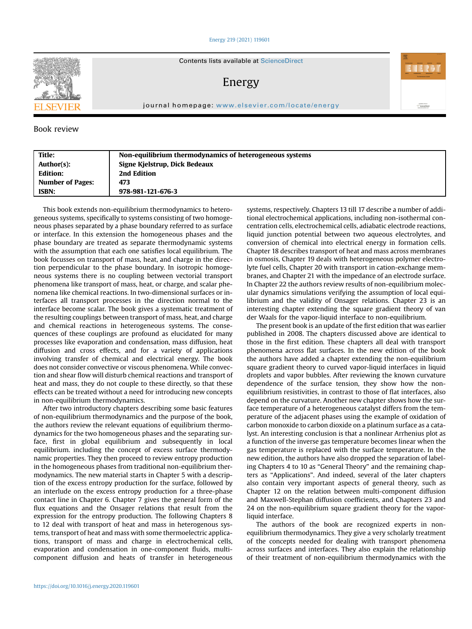## [Energy 219 \(2021\) 119601](https://doi.org/10.1016/j.energy.2020.119601)



Contents lists available at ScienceDirect

Energy

journal homepage: [www.elsevier.com/locate/energy](http://www.elsevier.com/locate/energy)

## Book review

| Title:                  | Non-equilibrium thermodynamics of heterogeneous systems |
|-------------------------|---------------------------------------------------------|
| Author(s):              | Signe Kjelstrup, Dick Bedeaux                           |
| <b>Edition:</b>         | 2nd Edition                                             |
| <b>Number of Pages:</b> | 473                                                     |
| <b>ISBN:</b>            | 978-981-121-676-3                                       |
|                         |                                                         |

This book extends non-equilibrium thermodynamics to heterogeneous systems, specifically to systems consisting of two homogeneous phases separated by a phase boundary referred to as surface or interface. In this extension the homogeneous phases and the phase boundary are treated as separate thermodynamic systems with the assumption that each one satisfies local equilibrium. The book focusses on transport of mass, heat, and charge in the direction perpendicular to the phase boundary. In isotropic homogeneous systems there is no coupling between vectorial transport phenomena like transport of mass, heat, or charge, and scalar phenomena like chemical reactions. In two-dimensional surfaces or interfaces all transport processes in the direction normal to the interface become scalar. The book gives a systematic treatment of the resulting couplings between transport of mass, heat, and charge and chemical reactions in heterogeneous systems. The consequences of these couplings are profound as elucidated for many processes like evaporation and condensation, mass diffusion, heat diffusion and cross effects, and for a variety of applications involving transfer of chemical and electrical energy. The book does not consider convective or viscous phenomena. While convection and shear flow will disturb chemical reactions and transport of heat and mass, they do not couple to these directly, so that these effects can be treated without a need for introducing new concepts in non-equilibrium thermodynamics.

After two introductory chapters describing some basic features of non-equilibrium thermodynamics and the purpose of the book, the authors review the relevant equations of equilibrium thermodynamics for the two homogeneous phases and the separating surface, first in global equilibrium and subsequently in local equilibrium. including the concept of excess surface thermodynamic properties. They then proceed to review entropy production in the homogeneous phases from traditional non-equilibrium thermodynamics. The new material starts in Chapter 5 with a description of the excess entropy production for the surface, followed by an interlude on the excess entropy production for a three-phase contact line in Chapter 6. Chapter 7 gives the general form of the flux equations and the Onsager relations that result from the expression for the entropy production. The following Chapters 8 to 12 deal with transport of heat and mass in heterogenous systems, transport of heat and mass with some thermoelectric applications, transport of mass and charge in electrochemical cells, evaporation and condensation in one-component fluids, multicomponent diffusion and heats of transfer in heterogeneous

systems, respectively. Chapters 13 till 17 describe a number of additional electrochemical applications, including non-isothermal concentration cells, electrochemical cells, adiabatic electrode reactions, liquid junction potential between two aqueous electrolytes, and conversion of chemical into electrical energy in formation cells. Chapter 18 describes transport of heat and mass across membranes in osmosis, Chapter 19 deals with heterogeneous polymer electrolyte fuel cells, Chapter 20 with transport in cation-exchange membranes, and Chapter 21 with the impedance of an electrode surface. In Chapter 22 the authors review results of non-equilibrium molecular dynamics simulations verifying the assumption of local equilibrium and the validity of Onsager relations. Chapter 23 is an interesting chapter extending the square gradient theory of van der Waals for the vapor-liquid interface to non-equilibrium.

Antibiotics in<br>ScienceDire

The present book is an update of the first edition that was earlier published in 2008. The chapters discussed above are identical to those in the first edition. These chapters all deal with transport phenomena across flat surfaces. In the new edition of the book the authors have added a chapter extending the non-equilibrium square gradient theory to curved vapor-liquid interfaces in liquid droplets and vapor bubbles. After reviewing the known curvature dependence of the surface tension, they show how the nonequilibrium resistivities, in contrast to those of flat interfaces, also depend on the curvature. Another new chapter shows how the surface temperature of a heterogeneous catalyst differs from the temperature of the adjacent phases using the example of oxidation of carbon monoxide to carbon dioxide on a platinum surface as a catalyst. An interesting conclusion is that a nonlinear Arrhenius plot as a function of the inverse gas temperature becomes linear when the gas temperature is replaced with the surface temperature. In the new edition, the authors have also dropped the separation of labeling Chapters 4 to 10 as "General Theory" and the remaining chapters as "Applications". And indeed, several of the later chapters also contain very important aspects of general theory, such as Chapter 12 on the relation between multi-component diffusion and Maxwell-Stephan diffusion coefficients, and Chapters 23 and 24 on the non-equilibrium square gradient theory for the vaporliquid interface.

The authors of the book are recognized experts in nonequilibrium thermodynamics. They give a very scholarly treatment of the concepts needed for dealing with transport phenomena across surfaces and interfaces. They also explain the relationship of their treatment of non-equilibrium thermodynamics with the